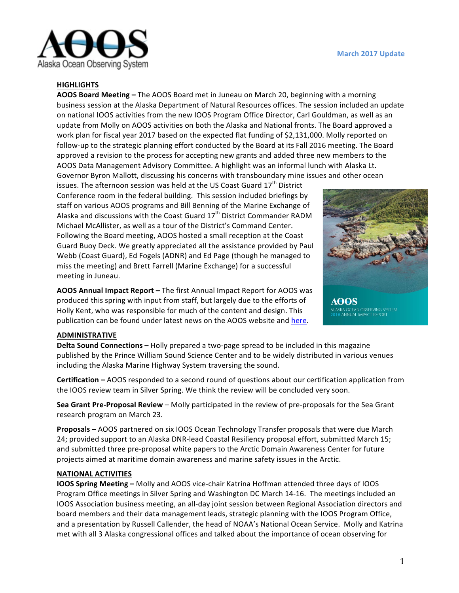

#### **HIGHLIGHTS**

**AOOS Board Meeting** – The AOOS Board met in Juneau on March 20, beginning with a morning business session at the Alaska Department of Natural Resources offices. The session included an update on national IOOS activities from the new IOOS Program Office Director, Carl Gouldman, as well as an update from Molly on AOOS activities on both the Alaska and National fronts. The Board approved a work plan for fiscal year 2017 based on the expected flat funding of \$2,131,000. Molly reported on follow-up to the strategic planning effort conducted by the Board at its Fall 2016 meeting. The Board approved a revision to the process for accepting new grants and added three new members to the AOOS Data Management Advisory Committee. A highlight was an informal lunch with Alaska Lt. Governor Byron Mallott, discussing his concerns with transboundary mine issues and other ocean

issues. The afternoon session was held at the US Coast Guard  $17<sup>th</sup>$  District Conference room in the federal building. This session included briefings by staff on various AOOS programs and Bill Benning of the Marine Exchange of Alaska and discussions with the Coast Guard  $17<sup>th</sup>$  District Commander RADM Michael McAllister, as well as a tour of the District's Command Center. Following the Board meeting, AOOS hosted a small reception at the Coast Guard Buoy Deck. We greatly appreciated all the assistance provided by Paul Webb (Coast Guard), Ed Fogels (ADNR) and Ed Page (though he managed to miss the meeting) and Brett Farrell (Marine Exchange) for a successful meeting in Juneau.

**AOOS Annual Impact Report –** The first Annual Impact Report for AOOS was produced this spring with input from staff, but largely due to the efforts of Holly Kent, who was responsible for much of the content and design. This publication can be found under latest news on the AOOS website and here.



KA OCEAN OBSERVING SYSTEM

#### **ADMINISTRATIVE**

**Delta Sound Connections** – Holly prepared a two-page spread to be included in this magazine published by the Prince William Sound Science Center and to be widely distributed in various venues including the Alaska Marine Highway System traversing the sound.

**Certification** – AOOS responded to a second round of questions about our certification application from the IOOS review team in Silver Spring. We think the review will be concluded very soon.

**Sea Grant Pre-Proposal Review** – Molly participated in the review of pre-proposals for the Sea Grant research program on March 23.

**Proposals** – AOOS partnered on six IOOS Ocean Technology Transfer proposals that were due March 24; provided support to an Alaska DNR-lead Coastal Resiliency proposal effort, submitted March 15; and submitted three pre-proposal white papers to the Arctic Domain Awareness Center for future projects aimed at maritime domain awareness and marine safety issues in the Arctic.

#### **NATIONAL ACTIVITIES**

**IOOS Spring Meeting –** Molly and AOOS vice-chair Katrina Hoffman attended three days of IOOS Program Office meetings in Silver Spring and Washington DC March 14-16. The meetings included an IOOS Association business meeting, an all-day joint session between Regional Association directors and board members and their data management leads, strategic planning with the IOOS Program Office, and a presentation by Russell Callender, the head of NOAA's National Ocean Service. Molly and Katrina met with all 3 Alaska congressional offices and talked about the importance of ocean observing for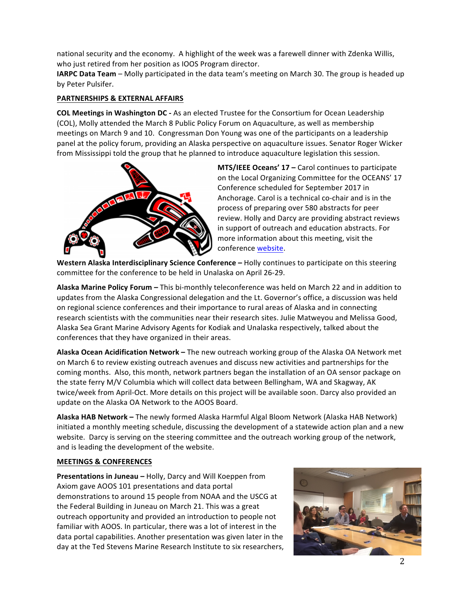national security and the economy. A highlight of the week was a farewell dinner with Zdenka Willis, who just retired from her position as IOOS Program director.

**IARPC Data Team** – Molly participated in the data team's meeting on March 30. The group is headed up by Peter Pulsifer.

## **PARTNERSHIPS & EXTERNAL AFFAIRS**

**COL Meetings in Washington DC** - As an elected Trustee for the Consortium for Ocean Leadership (COL), Molly attended the March 8 Public Policy Forum on Aquaculture, as well as membership meetings on March 9 and 10. Congressman Don Young was one of the participants on a leadership panel at the policy forum, providing an Alaska perspective on aquaculture issues. Senator Roger Wicker from Mississippi told the group that he planned to introduce aquaculture legislation this session.



**MTS/IEEE Oceans' 17 – Carol continues to participate** on the Local Organizing Committee for the OCEANS' 17 Conference scheduled for September 2017 in Anchorage. Carol is a technical co-chair and is in the process of preparing over 580 abstracts for peer review. Holly and Darcy are providing abstract reviews in support of outreach and education abstracts. For more information about this meeting, visit the conference website.

**Western Alaska Interdisciplinary Science Conference - Holly continues to participate on this steering** committee for the conference to be held in Unalaska on April 26-29.

**Alaska Marine Policy Forum - This bi-monthly teleconference was held on March 22 and in addition to** updates from the Alaska Congressional delegation and the Lt. Governor's office, a discussion was held on regional science conferences and their importance to rural areas of Alaska and in connecting research scientists with the communities near their research sites. Julie Matweyou and Melissa Good, Alaska Sea Grant Marine Advisory Agents for Kodiak and Unalaska respectively, talked about the conferences that they have organized in their areas.

**Alaska Ocean Acidification Network** – The new outreach working group of the Alaska OA Network met on March 6 to review existing outreach avenues and discuss new activities and partnerships for the coming months. Also, this month, network partners began the installation of an OA sensor package on the state ferry M/V Columbia which will collect data between Bellingham, WA and Skagway, AK twice/week from April-Oct. More details on this project will be available soon. Darcy also provided an update on the Alaska OA Network to the AOOS Board.

**Alaska HAB Network** – The newly formed Alaska Harmful Algal Bloom Network (Alaska HAB Network) initiated a monthly meeting schedule, discussing the development of a statewide action plan and a new website. Darcy is serving on the steering committee and the outreach working group of the network, and is leading the development of the website.

### **MEETINGS & CONFERENCES**

**Presentations in Juneau –** Holly, Darcy and Will Koeppen from Axiom gave AOOS 101 presentations and data portal demonstrations to around 15 people from NOAA and the USCG at the Federal Building in Juneau on March 21. This was a great outreach opportunity and provided an introduction to people not familiar with AOOS. In particular, there was a lot of interest in the data portal capabilities. Another presentation was given later in the day at the Ted Stevens Marine Research Institute to six researchers,